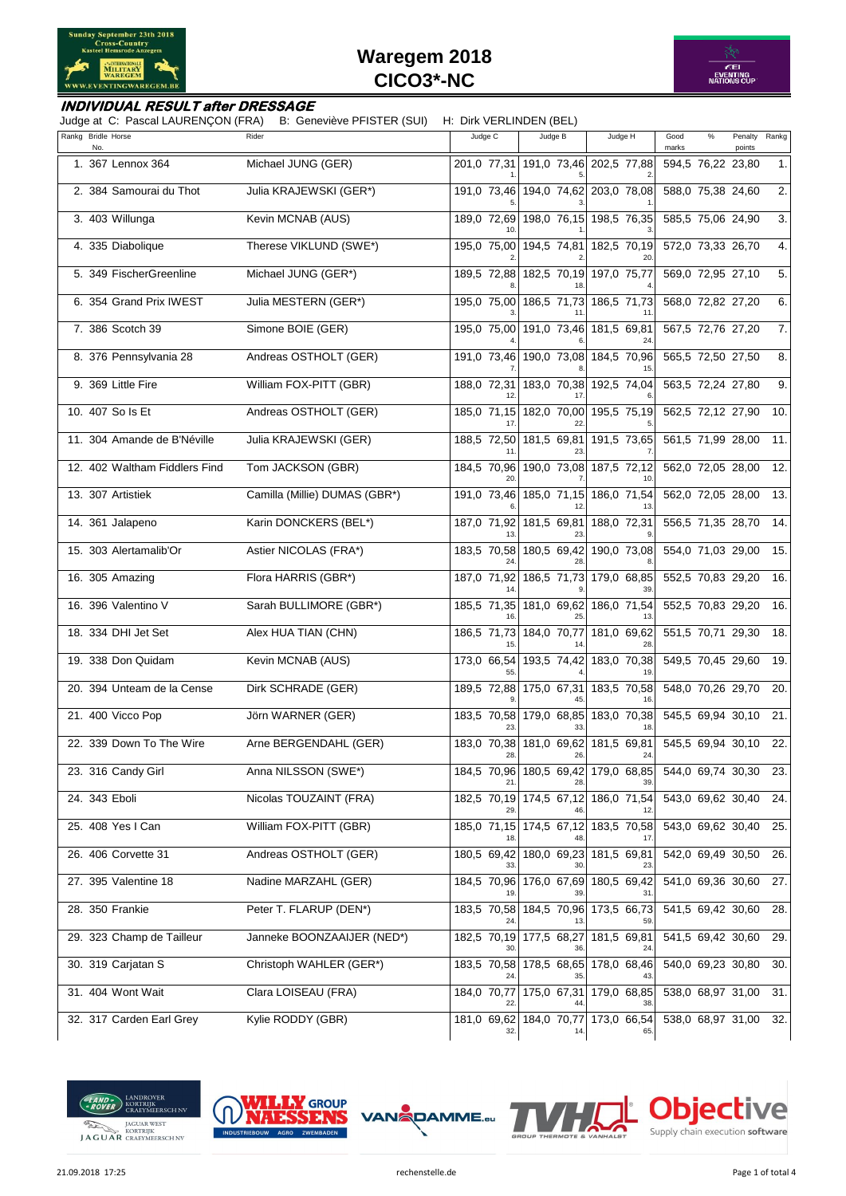



#### **INDIVIDUAL RESULT after DRESSAGE**

Judge at C: Pascal LAURENÇON (FRA) B: Geneviève PFISTER (SUI) H: Dirk VERLINDEN (BEL)

| Rankg Bridle Horse<br>No.     | Rider                         | Judge C            | Judge B                             | Judge H                             | Good<br>marks     | % | Penalty<br>points | Rankg |
|-------------------------------|-------------------------------|--------------------|-------------------------------------|-------------------------------------|-------------------|---|-------------------|-------|
| 1. 367 Lennox 364             | Michael JUNG (GER)            |                    | 201,0 77,31 191,0 73,46 202,5 77,88 |                                     | 594,5 76,22 23,80 |   |                   | 1.    |
| 2. 384 Samourai du Thot       | Julia KRAJEWSKI (GER*)        |                    | 191,0 73,46 194,0 74,62 203,0 78,08 |                                     | 588,0 75,38 24,60 |   |                   | 2.    |
| 3. 403 Willunga               | Kevin MCNAB (AUS)             | 189,0 72,69        |                                     | 198,0 76,15 198,5 76,35             | 585,5 75,06 24,90 |   |                   | 3.    |
| 4. 335 Diabolique             | Therese VIKLUND (SWE*)        | 195,0 75,00        | 194,5 74,81                         | 182,5 70,19                         | 572,0 73,33 26,70 |   |                   | 4.    |
| 5. 349 FischerGreenline       | Michael JUNG (GER*)           | 189,5 72,88        | 182,5 70,19                         | 197,0 75,77                         | 569,0 72,95 27,10 |   |                   | 5.    |
| 6. 354 Grand Prix IWEST       | Julia MESTERN (GER*)          |                    | 195,0 75,00 186,5 71,73             | 186,5 71,73                         | 568,0 72,82 27,20 |   |                   | 6.    |
| 7. 386 Scotch 39              | Simone BOIE (GER)             |                    | 195,0 75,00 191,0 73,46 181,5 69,81 |                                     | 567,5 72,76 27,20 |   |                   | 7.    |
| 8. 376 Pennsylvania 28        | Andreas OSTHOLT (GER)         |                    | 191,0 73,46 190,0 73,08 184,5 70,96 |                                     | 565,5 72,50 27,50 |   |                   | 8.    |
| 9. 369 Little Fire            | William FOX-PITT (GBR)        | 188,0 72,31        | 183,0 70,38                         | 192,5 74,04                         | 563,5 72,24 27,80 |   |                   | 9.    |
| 10. 407 So Is Et              | Andreas OSTHOLT (GER)         |                    | 185,0 71,15 182,0 70,00             | 195,5 75,19                         | 562,5 72,12 27,90 |   |                   | 10.   |
| 11. 304 Amande de B'Néville   | Julia KRAJEWSKI (GER)         |                    | 188,5 72,50 181,5 69,81 191,5 73,65 |                                     | 561,5 71,99 28,00 |   |                   | 11.   |
| 12. 402 Waltham Fiddlers Find | Tom JACKSON (GBR)             |                    | 184,5 70,96 190,0 73,08 187,5 72,12 |                                     | 562,0 72,05 28,00 |   |                   | 12.   |
| 13. 307 Artistiek             | Camilla (Millie) DUMAS (GBR*) | 191,0 73,46        |                                     | 185,0 71,15 186,0 71,54             | 562,0 72,05 28,00 |   |                   | 13.   |
| 14. 361 Jalapeno              | Karin DONCKERS (BEL*)         | 187,0 71,92        | 181,5 69,81                         | 188,0 72,31                         | 556,5 71,35 28,70 |   |                   | 14.   |
| 15. 303 Alertamalib'Or        | Astier NICOLAS (FRA*)         | 183,5 70,58        |                                     | 180,5 69,42 190,0 73,08             | 554,0 71,03 29,00 |   |                   | 15.   |
| 16. 305 Amazing               | Flora HARRIS (GBR*)           | 187,0 71,92        |                                     | 186,5 71,73 179,0 68,85             | 552,5 70,83 29,20 |   |                   | 16.   |
| 16. 396 Valentino V           | Sarah BULLIMORE (GBR*)        | 185,5 71,35        | 181,0 69,62                         | 186,0 71,54                         | 552,5 70,83 29,20 |   |                   | 16.   |
| 18. 334 DHI Jet Set           | Alex HUA TIAN (CHN)           | 186,5 71,73        | 184,0 70,77                         | 181,0 69,62                         | 551,5 70,71 29,30 |   |                   | 18.   |
| 19. 338 Don Quidam            | Kevin MCNAB (AUS)             | 173,0 66,54        | 193,5 74,42                         | 183,0 70,38                         | 549,5 70,45 29,60 |   |                   | 19.   |
| 20. 394 Unteam de la Cense    | Dirk SCHRADE (GER)            |                    | 189,5 72,88 175,0 67,31             | 183,5 70,58                         | 548,0 70,26 29,70 |   |                   | 20.   |
| 21. 400 Vicco Pop             | Jörn WARNER (GER)             |                    | 183,5 70,58 179,0 68,85 183,0 70,38 |                                     | 545,5 69,94 30,10 |   |                   | 21.   |
| 22. 339 Down To The Wire      | Arne BERGENDAHL (GER)         | 183,0 70,38<br>28. | 181,0 69,62<br>26.                  | 181,5 69,81<br>24.                  | 545.5 69.94 30.10 |   |                   | 22.   |
| 23. 316 Candy Girl            | Anna NILSSON (SWE*)           |                    |                                     | 184,5 70,96 180,5 69,42 179,0 68,85 | 544,0 69,74 30,30 |   |                   | 23.   |
| 24. 343 Eboli                 | Nicolas TOUZAINT (FRA)        |                    |                                     | 182,5 70,19 174,5 67,12 186,0 71,54 | 543,0 69,62 30,40 |   |                   | 24.   |
| 25. 408 Yes I Can             | William FOX-PITT (GBR)        |                    | 185,0 71,15 174,5 67,12 183,5 70,58 |                                     | 543,0 69,62 30,40 |   |                   | 25.   |
| 26. 406 Corvette 31           | Andreas OSTHOLT (GER)         | 180,5 69,42        | 180,0 69,23                         | 181,5 69,81                         | 542,0 69,49 30,50 |   |                   | 26.   |
| 27. 395 Valentine 18          | Nadine MARZAHL (GER)          | 184,5 70,96        | 176,0 67,69                         | 180,5 69,42                         | 541,0 69,36 30,60 |   |                   | 27.   |
| 28. 350 Frankie               | Peter T. FLARUP (DEN*)        | 183,5 70,58        |                                     | 184,5 70,96 173,5 66,73             | 541,5 69,42 30,60 |   |                   | 28.   |
| 29. 323 Champ de Tailleur     | Janneke BOONZAAIJER (NED*)    | 182,5 70,19        | 177,5 68,27                         | 181,5 69,81                         | 541,5 69,42 30,60 |   |                   | 29.   |
| 30. 319 Carjatan S            | Christoph WAHLER (GER*)       | 183,5 70,58        | 178,5 68,65                         | 178,0 68,46                         | 540,0 69,23 30,80 |   |                   | 30.   |
| 31. 404 Wont Wait             | Clara LOISEAU (FRA)           | 184,0 70,77        |                                     | 175,0 67,31 179,0 68,85             | 538,0 68,97 31,00 |   |                   | 31.   |
| 32. 317 Carden Earl Grey      | Kylie RODDY (GBR)             | 32.                |                                     | 181,0 69,62 184,0 70,77 173,0 66,54 | 538,0 68,97 31,00 |   |                   | 32.   |





21.09.2018 17:25 rechenstelle.de Page 1 of total 4

DAMME.eu

Objective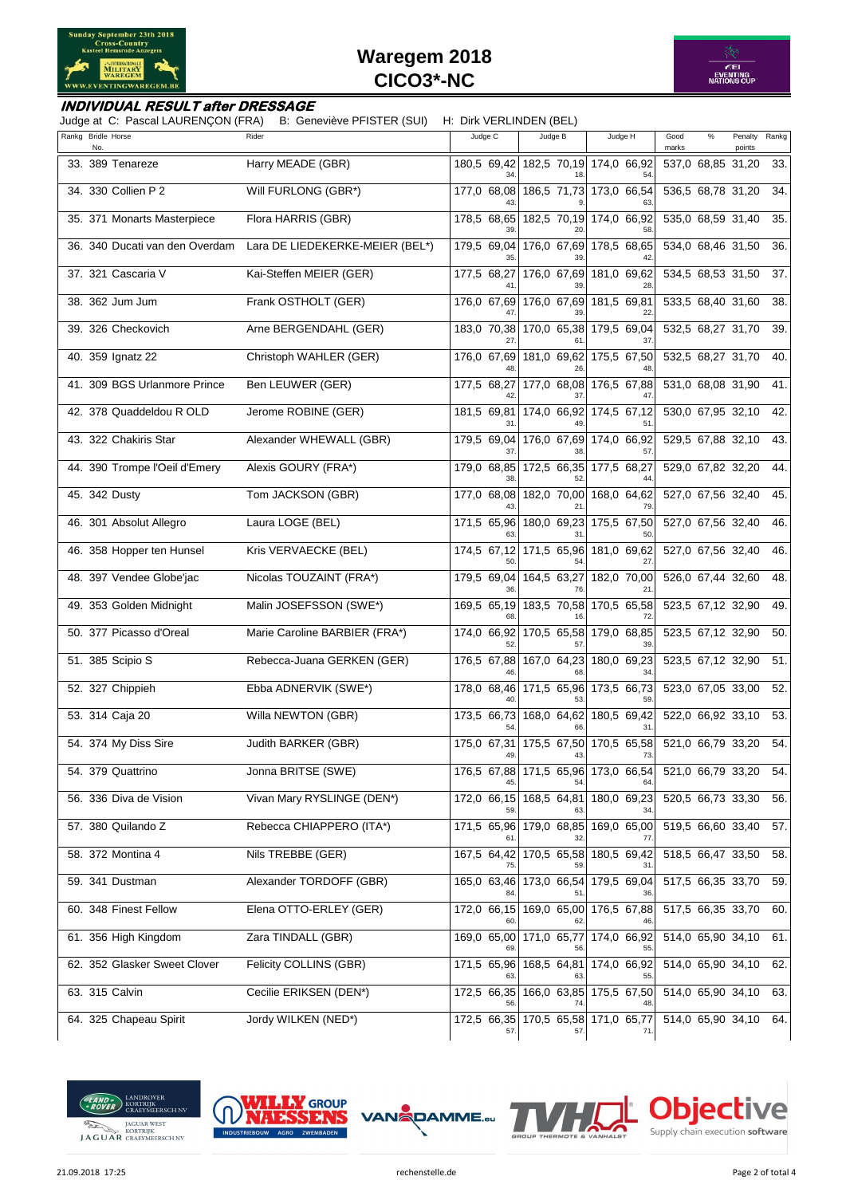



#### **INDIVIDUAL RESULT after DRESSAGE**

Judge at C: Pascal LAURENÇON (FRA) B: Geneviève PFISTER (SUI) H: Dirk VERLINDEN (BEL)

| Rankg Bridle Horse<br>No       | Rider                           | Judge C           | Judge B                             | Judge H                                    | Good<br>%<br>marks | Penalty<br>points | Rankg |
|--------------------------------|---------------------------------|-------------------|-------------------------------------|--------------------------------------------|--------------------|-------------------|-------|
| 33. 389 Tenareze               | Harry MEADE (GBR)               | 180,5 69,42       |                                     | 182,5 70,19 174,0 66,92                    | 537,0 68,85 31,20  |                   | 33.   |
| 34. 330 Collien P 2            | Will FURLONG (GBR*)             | 177,0 68,08       |                                     | 186,5 71,73 173,0 66,54                    | 536,5 68,78 31,20  |                   | 34.   |
| 35. 371 Monarts Masterpiece    | Flora HARRIS (GBR)              | 178,5 68,65       |                                     | 182,5 70,19 174,0 66,92                    | 535,0 68,59 31,40  |                   | 35.   |
| 36. 340 Ducati van den Overdam | Lara DE LIEDEKERKE-MEIER (BEL*) | 179,5 69,04       | 176,0 67,69                         | 178,5 68,65                                | 534,0 68,46 31,50  |                   | 36.   |
| 37. 321 Cascaria V             | Kai-Steffen MEIER (GER)         | 177,5 68,27       | 176,0 67,69                         | 181,0 69,62                                | 534,5 68,53 31,50  |                   | 37.   |
| 38. 362 Jum Jum                | Frank OSTHOLT (GER)             | 176,0 67,69       | 176,0 67,69                         | 181.5 69.81                                | 533,5 68,40 31,60  |                   | 38.   |
| 39. 326 Checkovich             | Arne BERGENDAHL (GER)           | 183,0 70,38       | 170,0 65,38                         | 179,5 69,04                                | 532,5 68,27 31,70  |                   | 39.   |
| 40. 359 Ignatz 22              | Christoph WAHLER (GER)          |                   | 176,0 67,69 181,0 69,62             | 175,5 67,50                                | 532,5 68,27 31,70  |                   | 40.   |
| 41. 309 BGS Urlanmore Prince   | Ben LEUWER (GER)                | 177,5 68,27       | 177,0 68,08                         | 176,5 67,88                                | 531,0 68,08 31,90  |                   | 41.   |
| 42. 378 Quaddeldou R OLD       | Jerome ROBINE (GER)             | 181,5 69,81       | 174,0 66,92                         | 174,5 67,12                                | 530,0 67,95 32,10  |                   | 42.   |
| 43. 322 Chakiris Star          | Alexander WHEWALL (GBR)         | 179,5 69,04       | 176,0 67,69                         | 174,0 66,92                                | 529,5 67,88 32,10  |                   | 43.   |
| 44. 390 Trompe l'Oeil d'Emery  | Alexis GOURY (FRA*)             |                   | 179,0 68,85 172,5 66,35 177,5 68,27 |                                            | 529,0 67,82 32,20  |                   | 44.   |
| 45. 342 Dusty                  | Tom JACKSON (GBR)               | 177,0 68,08       |                                     | 182,0 70,00 168,0 64,62                    | 527,0 67,56 32,40  |                   | 45.   |
| 46. 301 Absolut Allegro        | Laura LOGE (BEL)                | 171,5 65,96       | 180,0 69,23                         | 175,5 67,50                                | 527,0 67,56 32,40  |                   | 46.   |
| 46. 358 Hopper ten Hunsel      | Kris VERVAECKE (BEL)            | 174,5 67,12       | 171,5 65,96                         | 181,0 69,62                                | 527,0 67,56 32,40  |                   | 46.   |
| 48. 397 Vendee Globe'jac       | Nicolas TOUZAINT (FRA*)         | 179,5 69,04       | 164,5 63,27                         | 182,0 70,00                                | 526,0 67,44 32,60  |                   | 48.   |
| 49. 353 Golden Midnight        | Malin JOSEFSSON (SWE*)          | 169,5 65,19       | 183,5 70,58                         | 170,5 65,58<br>72                          | 523,5 67,12 32,90  |                   | 49.   |
| 50. 377 Picasso d'Oreal        | Marie Caroline BARBIER (FRA*)   | 174,0 66,92       | 170,5 65,58                         | 179,0 68,85                                | 523,5 67,12 32,90  |                   | 50.   |
| 51. 385 Scipio S               | Rebecca-Juana GERKEN (GER)      | 176,5 67,88       | 167,0 64,23<br>68                   | 180,0 69,23<br>34                          | 523,5 67,12 32,90  |                   | 51.   |
| 52. 327 Chippieh               | Ebba ADNERVIK (SWE*)            | 178,0 68,46       | 171,5 65,96                         | 173,5 66,73                                | 523,0 67,05 33,00  |                   | 52.   |
| 53. 314 Caja 20                | Willa NEWTON (GBR)              | 173,5 66,73       | 168,0 64,62                         | 180,5 69,42<br>31                          | 522,0 66,92 33,10  |                   | 53.   |
| 54. 374 My Diss Sire           | Judith BARKER (GBR)             | 175,0 67,31<br>49 | 175,5 67,50                         | 170,5 65,58<br>73.                         | 521,0 66,79 33,20  |                   | 54.   |
| 54. 379 Quattrino              | Jonna BRITSE (SWE)              |                   |                                     | 176,5 67,88 171,5 65,96 173,0 66,54        | 521,0 66,79 33,20  |                   | 54.   |
| 56. 336 Diva de Vision         | Vivan Mary RYSLINGE (DEN*)      |                   |                                     | 172,0 66,15 168,5 64,81 180,0 69,23        | 520,5 66,73 33,30  |                   | 56.   |
| 57. 380 Quilando Z             | Rebecca CHIAPPERO (ITA*)        |                   |                                     | 171,5 65,96 179,0 68,85 169,0 65,00        | 519,5 66,60 33,40  |                   | 57.   |
| 58. 372 Montina 4              | Nils TREBBE (GER)               | 167,5 64,42       |                                     | 170,5 65,58 180,5 69,42                    | 518,5 66,47 33,50  |                   | 58.   |
| 59. 341 Dustman                | Alexander TORDOFF (GBR)         | 165,0 63,46       | 173,0 66,54                         | 179,5 69,04                                | 517,5 66,35 33,70  |                   | 59.   |
| 60. 348 Finest Fellow          | Elena OTTO-ERLEY (GER)          |                   |                                     | 172,0 66,15 169,0 65,00 176,5 67,88        | 517,5 66,35 33,70  |                   | 60.   |
| 61. 356 High Kingdom           | Zara TINDALL (GBR)              |                   |                                     | 169,0 65,00 171,0 65,77 174,0 66,92        | 514,0 65,90 34,10  |                   | 61.   |
| 62. 352 Glasker Sweet Clover   | Felicity COLLINS (GBR)          | 171,5 65,96       |                                     | 168,5 64,81 174,0 66,92                    | 514,0 65,90 34,10  |                   | 62.   |
| 63. 315 Calvin                 | Cecilie ERIKSEN (DEN*)          | 172,5 66,35       |                                     | 166,0 63,85 175,5 67,50                    | 514,0 65,90 34,10  |                   | 63.   |
| 64. 325 Chapeau Spirit         | Jordy WILKEN (NED*)             | 57.               | 57.                                 | 172,5 66,35 170,5 65,58 171,0 65,77<br>71. | 514,0 65,90 34,10  |                   | 64.1  |





DAMME.eu



Objective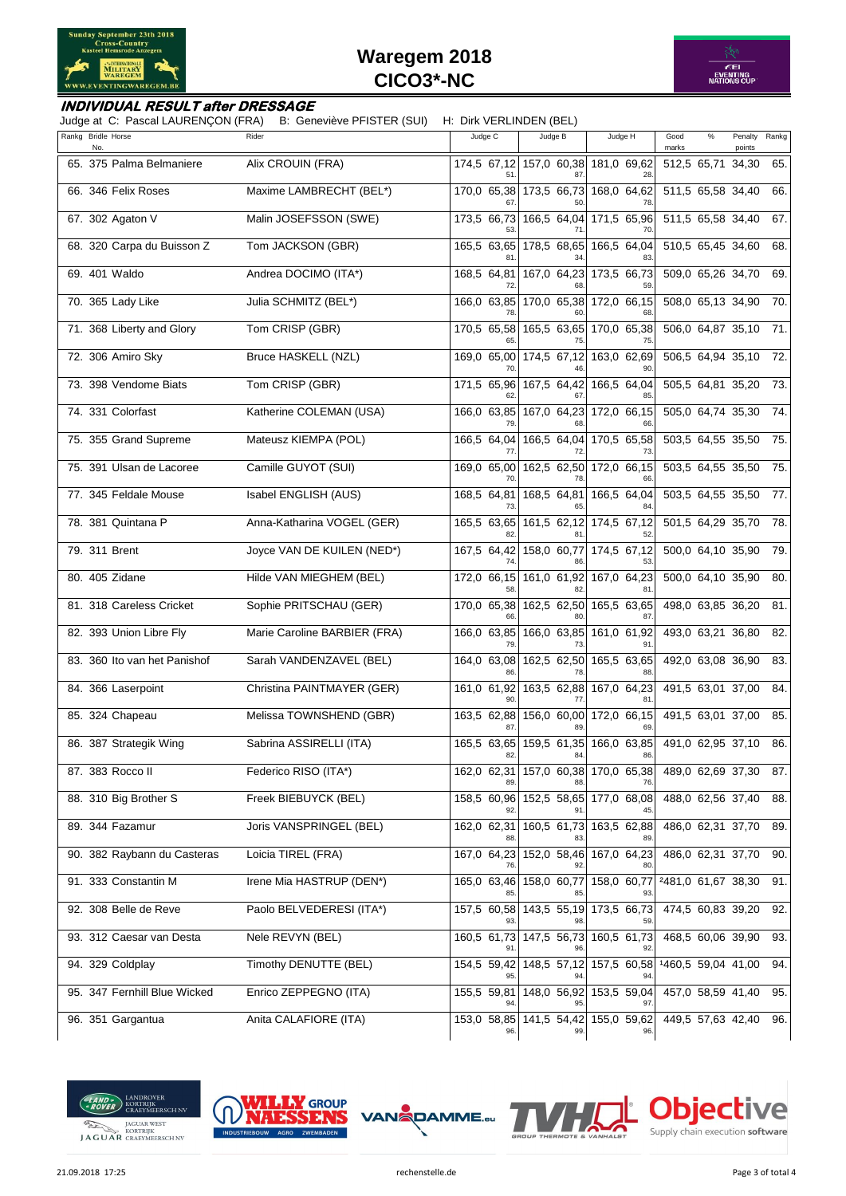



#### **INDIVIDUAL RESULT after DRESSAGE**

Judge at C: Pascal LAURENÇON (FRA) B: Geneviève PFISTER (SUI) H: Dirk VERLINDEN (BEL)

| Rankg Bridle Horse<br>No.    | Rider                        | Judge C     | Judge B                             | Judge H                                    | Good<br>marks      | $\%$ | Penalty<br>points | Rankg |
|------------------------------|------------------------------|-------------|-------------------------------------|--------------------------------------------|--------------------|------|-------------------|-------|
| 65. 375 Palma Belmaniere     | Alix CROUIN (FRA)            |             | 174,5 67,12 157,0 60,38 181,0 69,62 |                                            | 512,5 65,71        |      | 34,30             | 65.   |
| 66. 346 Felix Roses          | Maxime LAMBRECHT (BEL*)      | 170,0 65,38 | 173,5 66,73                         | 168,0 64,62                                | 511,5 65,58 34,40  |      |                   | 66.   |
| 67. 302 Agaton V             | Malin JOSEFSSON (SWE)        | 173,5 66,73 | 166,5 64,04<br>71                   | 171,5 65,96<br>70                          | 511,5 65,58 34,40  |      |                   | 67.   |
| 68. 320 Carpa du Buisson Z   | Tom JACKSON (GBR)            | 165,5 63,65 | 178,5 68,65                         | 166,5 64,04                                | 510,5 65,45 34,60  |      |                   | 68.   |
| 69. 401 Waldo                | Andrea DOCIMO (ITA*)         | 168,5 64,81 | 167,0 64,23                         | 173,5 66,73<br>59                          | 509,0 65,26 34,70  |      |                   | 69.   |
| 70. 365 Lady Like            | Julia SCHMITZ (BEL*)         | 166,0 63,85 | 170,0 65,38                         | 172,0 66,15                                | 508,0 65,13 34,90  |      |                   | 70.   |
| 71. 368 Liberty and Glory    | Tom CRISP (GBR)              | 170,5 65,58 | 75                                  | 165,5 63,65 170,0 65,38<br>75              | 506,0 64,87 35,10  |      |                   | 71.   |
| 72. 306 Amiro Sky            | Bruce HASKELL (NZL)          | 169,0 65,00 | 174,5 67,12                         | 163,0 62,69                                | 506,5 64,94 35,10  |      |                   | 72.   |
| 73. 398 Vendome Biats        | Tom CRISP (GBR)              | 171,5 65,96 | 167,5 64,42                         | 166,5 64,04<br>85                          | 505,5 64,81 35,20  |      |                   | 73.   |
| 74. 331 Colorfast            | Katherine COLEMAN (USA)      | 166,0 63,85 | 167,0 64,23                         | 172,0 66,15                                | 505,0 64,74 35,30  |      |                   | 74.   |
| 75. 355 Grand Supreme        | Mateusz KIEMPA (POL)         | 166,5 64,04 | 166,5 64,04<br>72                   | 170.5 65.58<br>73                          | 503,5 64,55 35,50  |      |                   | 75.   |
| 75. 391 Ulsan de Lacoree     | Camille GUYOT (SUI)          | 169,0 65,00 |                                     | 162,5 62,50 172,0 66,15                    | 503,5 64,55 35,50  |      |                   | 75.   |
| 77. 345 Feldale Mouse        | Isabel ENGLISH (AUS)         | 168,5 64,81 | 168,5 64,81                         | 166,5 64,04                                | 503,5 64,55 35,50  |      |                   | 77.   |
| 78. 381 Quintana P           | Anna-Katharina VOGEL (GER)   | 165,5 63,65 | 161,5 62,12                         | 174,5 67,12                                | 501,5 64,29 35,70  |      |                   | 78.   |
| 79. 311 Brent                | Joyce VAN DE KUILEN (NED*)   | 167,5 64,42 | 158,0 60,77                         | 174,5 67,12                                | 500,0 64,10 35,90  |      |                   | 79.   |
| 80. 405 Zidane               | Hilde VAN MIEGHEM (BEL)      | 172,0 66,15 | 161,0 61,92                         | 167,0 64,23<br>81                          | 500,0 64,10 35,90  |      |                   | 80.   |
| 81. 318 Careless Cricket     | Sophie PRITSCHAU (GER)       | 170,0 65,38 | 162,5 62,50                         | 165,5 63,65<br>87                          | 498,0 63,85 36,20  |      |                   | 81.   |
| 82. 393 Union Libre Fly      | Marie Caroline BARBIER (FRA) | 166,0 63,85 | 166,0 63,85                         | 161,0 61,92                                | 493,0 63,21 36,80  |      |                   | 82.   |
| 83. 360 Ito van het Panishof | Sarah VANDENZAVEL (BEL)      | 164,0 63,08 | 162,5 62,50<br>78                   | 165,5 63,65<br>88                          | 492,0 63,08 36,90  |      |                   | 83.   |
| 84. 366 Laserpoint           | Christina PAINTMAYER (GER)   | 161,0 61,92 | 163,5 62,88                         | 167,0 64,23                                | 491,5 63,01 37,00  |      |                   | 84.   |
| 85. 324 Chapeau              | Melissa TOWNSHEND (GBR)      | 163,5 62,88 |                                     | 156,0 60,00 172,0 66,15<br>69              | 491,5 63,01 37,00  |      |                   | 85.   |
| 86. 387 Strategik Wing       | Sabrina ASSIRELLI (ITA)      | 165,5 63,65 | 159,5 61,35                         | 166,0 63,85<br>86                          | 491,0 62,95 37,10  |      |                   | 86.   |
| 87. 383 Rocco II             | Federico RISO (ITA*)         |             | 162,0 62,31 157,0 60,38 170,0 65,38 |                                            | 489,0 62,69 37,30  |      |                   | 87.   |
| 88. 310 Big Brother S        | Freek BIEBUYCK (BEL)         | 158,5 60,96 |                                     | 152,5 58,65 177,0 68,08                    | 488,0 62,56 37,40  |      |                   | 88.   |
| 89. 344 Fazamur              | Joris VANSPRINGEL (BEL)      |             | 162,0 62,31 160,5 61,73 163,5 62,88 |                                            | 486,0 62,31 37,70  |      |                   | 89.   |
| 90. 382 Raybann du Casteras  | Loicia TIREL (FRA)           |             | 167,0 64,23 152,0 58,46 167,0 64,23 |                                            | 486,0 62,31 37,70  |      |                   | 90.   |
| 91. 333 Constantin M         | Irene Mia HASTRUP (DEN*)     | 165,0 63,46 | 158,0 60,77                         | 158,0 60,77                                | 2481,0 61,67 38,30 |      |                   | 91.   |
| 92. 308 Belle de Reve        | Paolo BELVEDERESI (ITA*)     | 157,5 60,58 |                                     | 143,5 55,19 173,5 66,73<br>59              | 474,5 60,83 39,20  |      |                   | 92.   |
| 93. 312 Caesar van Desta     | Nele REVYN (BEL)             | 160,5 61,73 | 147,5 56,73                         | 160,5 61,73                                | 468,5 60,06 39,90  |      |                   | 93.   |
| 94. 329 Coldplay             | Timothy DENUTTE (BEL)        | 154,5 59,42 | 148,5 57,12                         | 157,5 60,58<br>94                          | 1460,5 59,04 41,00 |      |                   | 94.   |
| 95. 347 Fernhill Blue Wicked | Enrico ZEPPEGNO (ITA)        | 155,5 59,81 | 148,0 56,92                         | 153,5 59,04                                | 457,0 58,59 41,40  |      |                   | 95.   |
| 96. 351 Gargantua            | Anita CALAFIORE (ITA)        | 96.         | 99.                                 | 153,0 58,85 141,5 54,42 155,0 59,62<br>96. | 449,5 57,63 42,40  |      |                   | 96.   |





21.09.2018 17:25 rechenstelle.de Page 3 of total 4

Objective